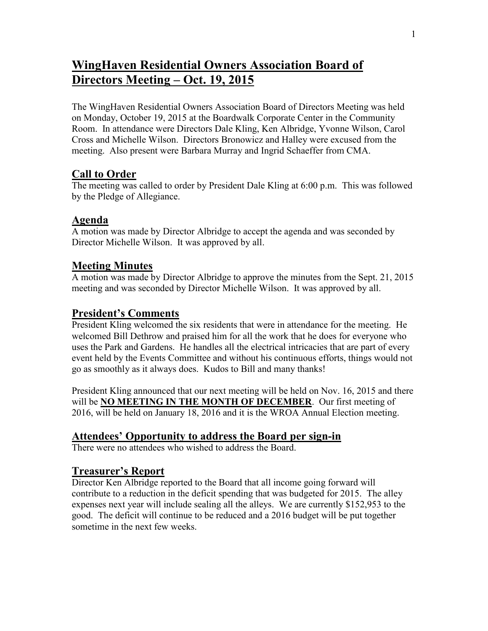# **WingHaven Residential Owners Association Board of Directors Meeting – Oct. 19, 2015**

The WingHaven Residential Owners Association Board of Directors Meeting was held on Monday, October 19, 2015 at the Boardwalk Corporate Center in the Community Room. In attendance were Directors Dale Kling, Ken Albridge, Yvonne Wilson, Carol Cross and Michelle Wilson. Directors Bronowicz and Halley were excused from the meeting. Also present were Barbara Murray and Ingrid Schaeffer from CMA.

## **Call to Order**

The meeting was called to order by President Dale Kling at 6:00 p.m. This was followed by the Pledge of Allegiance.

## **Agenda**

A motion was made by Director Albridge to accept the agenda and was seconded by Director Michelle Wilson. It was approved by all.

## **Meeting Minutes**

A motion was made by Director Albridge to approve the minutes from the Sept. 21, 2015 meeting and was seconded by Director Michelle Wilson. It was approved by all.

## **President's Comments**

President Kling welcomed the six residents that were in attendance for the meeting. He welcomed Bill Dethrow and praised him for all the work that he does for everyone who uses the Park and Gardens. He handles all the electrical intricacies that are part of every event held by the Events Committee and without his continuous efforts, things would not go as smoothly as it always does. Kudos to Bill and many thanks!

President Kling announced that our next meeting will be held on Nov. 16, 2015 and there will be **NO MEETING IN THE MONTH OF DECEMBER**. Our first meeting of 2016, will be held on January 18, 2016 and it is the WROA Annual Election meeting.

# **Attendees' Opportunity to address the Board per sign-in**

There were no attendees who wished to address the Board.

# **Treasurer's Report**

Director Ken Albridge reported to the Board that all income going forward will contribute to a reduction in the deficit spending that was budgeted for 2015. The alley expenses next year will include sealing all the alleys. We are currently \$152,953 to the good. The deficit will continue to be reduced and a 2016 budget will be put together sometime in the next few weeks.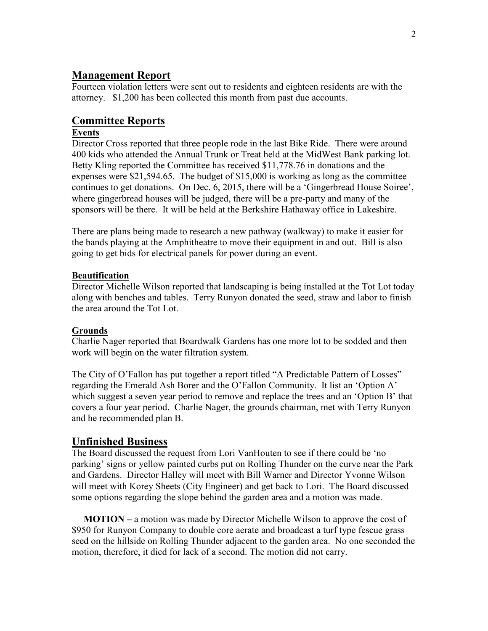## **Management Report**

Fourteen violation letters were sent out to residents and eighteen residents are with the attorney. \$1,200 has been collected this month from past due accounts.

#### **Committee Reports**

#### **Events**

Director Cross reported that three people rode in the last Bike Ride. There were around 400 kids who attended the Annual Trunk or Treat held at the MidWest Bank parking lot. Betty Kling reported the Committee has received \$11,778.76 in donations and the expenses were \$21,594.65. The budget of \$15,000 is working as long as the committee continues to get donations. On Dec. 6, 2015, there will be a 'Gingerbread House Soiree', where gingerbread houses will be judged, there will be a pre-party and many of the sponsors will be there. It will be held at the Berkshire Hathaway office in Lakeshire.

There are plans being made to research a new pathway (walkway) to make it easier for the bands playing at the Amphitheatre to move their equipment in and out. Bill is also going to get bids for electrical panels for power during an event.

#### **Beautification**

Director Michelle Wilson reported that landscaping is being installed at the Tot Lot today along with benches and tables. Terry Runyon donated the seed, straw and labor to finish the area around the Tot Lot.

#### **Grounds**

Charlie Nager reported that Boardwalk Gardens has one more lot to be sodded and then work will begin on the water filtration system.

The City of O'Fallon has put together a report titled "A Predictable Pattern of Losses" regarding the Emerald Ash Borer and the O'Fallon Community. It list an 'Option A' which suggest a seven year period to remove and replace the trees and an 'Option B' that covers a four year period. Charlie Nager, the grounds chairman, met with Terry Runyon and he recommended plan B.

#### **Unfinished Business**

The Board discussed the request from Lori VanHouten to see if there could be 'no parking' signs or yellow painted curbs put on Rolling Thunder on the curve near the Park and Gardens. Director Halley will meet with Bill Warner and Director Yvonne Wilson will meet with Korey Sheets (City Engineer) and get back to Lori. The Board discussed some options regarding the slope behind the garden area and a motion was made.

 **MOTION –** a motion was made by Director Michelle Wilson to approve the cost of \$950 for Runyon Company to double core aerate and broadcast a turf type fescue grass seed on the hillside on Rolling Thunder adjacent to the garden area. No one seconded the motion, therefore, it died for lack of a second. The motion did not carry.